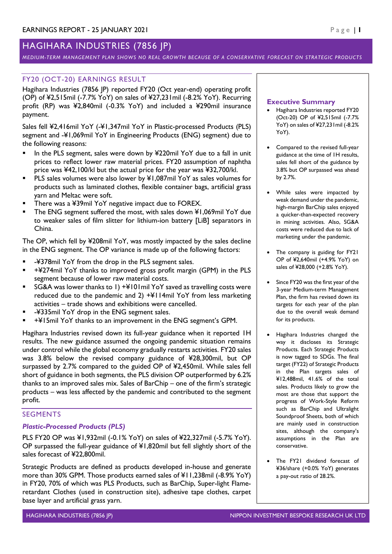# HAGIHARA INDUSTRIES (7856 JP)

#### *MEDIUM-TERM MANAGEMENT PLAN SHOWS NO REAL GROWTH BECAUSE OF A CONSERVATIVE FORECAST ON STRATEGIC PRODUCTS*

### FY20 (OCT-20) EARNINGS RESULT

Hagihara Industries (7856 JP) reported FY20 (Oct year-end) operating profit (OP) of ¥2,515mil (-7.7% YoY) on sales of ¥27,231mil (-8.2% YoY). Recurring profit (RP) was ¥2,840mil (-0.3% YoY) and included a ¥290mil insurance payment.

Sales fell ¥2,416mil YoY (-¥1,347mil YoY in Plastic-processed Products (PLS) segment and -¥1,069mil YoY in Engineering Products (ENG) segment) due to the following reasons:

- In the PLS segment, sales were down by ¥220mil YoY due to a fall in unit prices to reflect lower raw material prices. FY20 assumption of naphtha price was ¥42,100/kl but the actual price for the year was ¥32,700/kl.
- PLS sales volumes were also lower by ¥1,087mil YoY as sales volumes for products such as laminated clothes, flexible container bags, artificial grass yarn and Meltac were soft.
- There was a ¥39mil YoY negative impact due to FOREX.
- The ENG segment suffered the most, with sales down ¥1,069mil YoY due to weaker sales of film slitter for lithium-ion battery [LiB] separators in China.

The OP, which fell by ¥208mil YoY, was mostly impacted by the sales decline in the ENG segment. The OP variance is made up of the following factors:

- -¥378mil YoY from the drop in the PLS segment sales.
- +¥274mil YoY thanks to improved gross profit margin (GPM) in the PLS segment because of lower raw material costs.
- SG&A was lower thanks to 1) +¥101mil YoY saved as travelling costs were reduced due to the pandemic and 2) +¥114mil YoY from less marketing activities – trade shows and exhibitions were cancelled.
- -¥335mil YoY drop in the ENG segment sales.
- +¥15mil YoY thanks to an improvement in the ENG segment's GPM.

Hagihara Industries revised down its full-year guidance when it reported 1H results. The new guidance assumed the ongoing pandemic situation remains under control while the global economy gradually restarts activities. FY20 sales was 3.8% below the revised company guidance of ¥28,300mil, but OP surpassed by 2.7% compared to the guided OP of ¥2,450mil. While sales fell short of guidance in both segments, the PLS division OP outperformed by 6.2% thanks to an improved sales mix. Sales of BarChip – one of the firm's strategic products – was less affected by the pandemic and contributed to the segment profit.

### **SEGMENTS**

#### *Plastic-Processed Products (PLS)*

PLS FY20 OP was ¥1,932mil (-0.1% YoY) on sales of ¥22,327mil (-5.7% YoY). OP surpassed the full-year guidance of ¥1,820mil but fell slightly short of the sales forecast of ¥22,800mil.

Strategic Products are defined as products developed in-house and generate more than 30% GPM. Those products earned sales of ¥11,238mil (-8.9% YoY) in FY20, 70% of which was PLS Products, such as BarChip, Super-light Flameretardant Clothes (used in construction site), adhesive tape clothes, carpet base layer and artificial grass yarn.

#### **Executive Summary**

- Hagihara Industries reported FY20 (Oct-20) OP of ¥2,515mil (-7.7% YoY) on sales of ¥27,231mil (-8.2% YoY).
- Compared to the revised full-year guidance at the time of 1H results, sales fell short of the guidance by 3.8% but OP surpassed was ahead by 2.7%.
- While sales were impacted by weak demand under the pandemic, high-margin BarChip sales enjoyed a quicker-than-expected recovery in mining activities. Also, SG&A costs were reduced due to lack of marketing under the pandemic.
- The company is guiding for FY21 OP of ¥2,640mil (+4.9% YoY) on sales of ¥28,000 (+2.8% YoY).
- Since FY20 was the first year of the 3-year Medium-term Management Plan, the firm has revised down its targets for each year of the plan due to the overall weak demand for its products.
- Hagihara Industries changed the way it discloses its Strategic Products. Each Strategic Products is now tagged to SDGs. The final target (FY22) of Strategic Products in the Plan targets sales of ¥12,488mil, 41.6% of the total sales. Products likely to grow the most are those that support the progress of Work-Style Reform such as BarChip and Ultralight Soundproof Sheets, both of which are mainly used in construction sites, although the company's assumptions in the Plan are conservative.
- The FY21 dividend forecast of ¥36/share (+0.0% YoY) generates a pay-out ratio of 28.2%.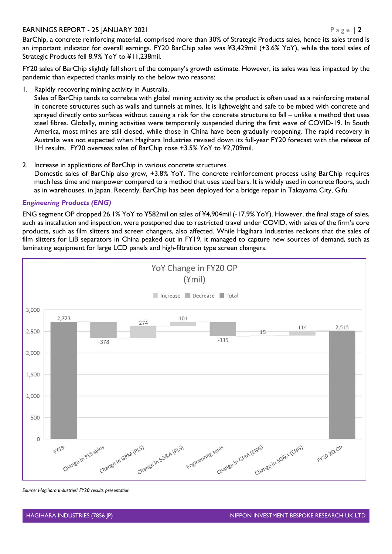#### **EARNINGS REPORT - 25 JANUARY 2021 Page | 2**

BarChip, a concrete reinforcing material, comprised more than 30% of Strategic Products sales, hence its sales trend is an important indicator for overall earnings. FY20 BarChip sales was ¥3,429mil (+3.6% YoY), while the total sales of Strategic Products fell 8.9% YoY to ¥11,238mil.

FY20 sales of BarChip slightly fell short of the company's growth estimate. However, its sales was less impacted by the pandemic than expected thanks mainly to the below two reasons:

1. Rapidly recovering mining activity in Australia.

Sales of BarChip tends to correlate with global mining activity as the product is often used as a reinforcing material in concrete structures such as walls and tunnels at mines. It is lightweight and safe to be mixed with concrete and sprayed directly onto surfaces without causing a risk for the concrete structure to fall – unlike a method that uses steel fibres. Globally, mining activities were temporarily suspended during the first wave of COVID-19. In South America, most mines are still closed, while those in China have been gradually reopening. The rapid recovery in Australia was not expected when Hagihara Industries revised down its full-year FY20 forecast with the release of 1H results. FY20 overseas sales of BarChip rose +3.5% YoY to ¥2,709mil.

2. Increase in applications of BarChip in various concrete structures.

Domestic sales of BarChip also grew, +3.8% YoY. The concrete reinforcement process using BarChip requires much less time and manpower compared to a method that uses steel bars. It is widely used in concrete floors, such as in warehouses, in Japan. Recently, BarChip has been deployed for a bridge repair in Takayama City, Gifu.

### *Engineering Products (ENG)*

ENG segment OP dropped 26.1% YoY to ¥582mil on sales of ¥4,904mil (-17.9% YoY). However, the final stage of sales, such as installation and inspection, were postponed due to restricted travel under COVID, with sales of the firm's core products, such as film slitters and screen changers, also affected. While Hagihara Industries reckons that the sales of film slitters for LiB separators in China peaked out in FY19, it managed to capture new sources of demand, such as laminating equipment for large LCD panels and high-filtration type screen changers.



*Source: Hagihara Industries' FY20 results presentation*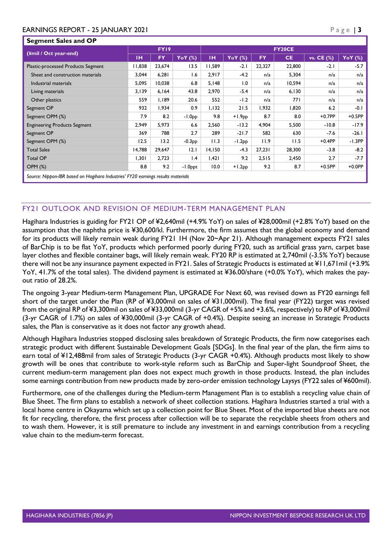### EARNINGS REPORT - 25 JANUARY 2021 P a g e | **3**

| <b>Segment Sales and OP</b>                                                      |        |           |                 |        |                |           |           |               |                |  |  |
|----------------------------------------------------------------------------------|--------|-----------|-----------------|--------|----------------|-----------|-----------|---------------|----------------|--|--|
| (¥mil / Oct year-end)                                                            |        | FY19      |                 |        | <b>FY20CE</b>  |           |           |               |                |  |  |
|                                                                                  | тн     | <b>FY</b> | YoY (%)         | TH.    | <b>YoY</b> (%) | <b>FY</b> | <b>CE</b> | vs. CE $(\%)$ | <b>YoY</b> (%) |  |  |
| Plastic-processed Products Segment                                               | 11,838 | 23,674    | 13.5            | 11,589 | $-2.1$         | 22,327    | 22,800    | $-2.1$        | $-5.7$         |  |  |
| Sheet and construction materials                                                 | 3,044  | 6,281     | 1.6             | 2,917  | $-4.2$         | n/a       | 5,304     | n/a           | n/a            |  |  |
| Industrial materials                                                             | 5,095  | 10,038    | 6.8             | 5,148  | 1.0            | n/a       | 10,594    | n/a           | n/a            |  |  |
| Living materials                                                                 | 3,139  | 6,164     | 43.8            | 2,970  | $-5.4$         | n/a       | 6,130     | n/a           | n/a            |  |  |
| Other plastics                                                                   | 559    | 1,189     | 20.6            | 552    | $-1.2$         | n/a       | 771       | n/a           | n/a            |  |  |
| Segment OP                                                                       | 932    | 1,934     | 0.9             | 1,132  | 21.5           | 1,932     | 1,820     | 6.2           | $-0.1$         |  |  |
| Segment OPM (%)                                                                  | 7.9    | 8.2       | $-1.0PP$        | 9.8    | $+1.9pp$       | 8.7       | 8.0       | $+0.7$ PP     | $+0.5PP$       |  |  |
| <b>Engineering Products Segment</b>                                              | 2,949  | 5.973     | 6.6             | 2,560  | $-13.2$        | 4,904     | 5,500     | $-10.8$       | $-17.9$        |  |  |
| Segment OP                                                                       | 369    | 788       | 2.7             | 289    | $-21.7$        | 582       | 630       | $-7.6$        | $-26.1$        |  |  |
| Segment OPM (%)                                                                  | 12.5   | 13.2      | $-0.3PP$        | 11.3   | $-1.2PP$       | 11.9      | 11.5      | $+0.4$ PP     | $-1.3PP$       |  |  |
| <b>Total Sales</b>                                                               | 14,788 | 29,647    | 2.1             | 14,150 | $-4.3$         | 27,231    | 28,300    | $-3.8$        | $-8.2$         |  |  |
| <b>Total OP</b>                                                                  | 1,301  | 2,723     | $\mathsf{I}$ .4 | 1,421  | 9.2            | 2,515     | 2,450     | 2.7           | -7.7           |  |  |
| <b>OPM (%)</b>                                                                   | 8.8    | 9.2       | -1.0ppt         | 10.0   | $+1.2PP$       | 9.2       | 8.7       | $+0.5$ PP     | $+0.0$ PP      |  |  |
| Source: Nippon-IBR based on Hagihara Industries' FY20 earnings results materials |        |           |                 |        |                |           |           |               |                |  |  |

### FY21 OUTLOOK AND REVISION OF MEDIUM-TERM MANAGEMENT PLAN

Hagihara Industries is guiding for FY21 OP of ¥2,640mil (+4.9% YoY) on sales of ¥28,000mil (+2.8% YoY) based on the assumption that the naphtha price is ¥30,600/kl. Furthermore, the firm assumes that the global economy and demand for its products will likely remain weak during FY21 1H (Nov 20~Apr 21). Although management expects FY21 sales of BarChip is to be flat YoY, products which performed poorly during FY20, such as artificial grass yarn, carpet base layer clothes and flexible container bags, will likely remain weak. FY20 RP is estimated at 2,740mil (-3.5% YoY) because there will not be any insurance payment expected in FY21. Sales of Strategic Products is estimated at ¥11,671mil (+3.9% YoY, 41.7% of the total sales). The dividend payment is estimated at ¥36.00/share (+0.0% YoY), which makes the payout ratio of 28.2%.

The ongoing 3-year Medium-term Management Plan, UPGRADE For Next 60, was revised down as FY20 earnings fell short of the target under the Plan (RP of ¥3,000mil on sales of ¥31,000mil). The final year (FY22) target was revised from the original RP of ¥3,300mil on sales of ¥33,000mil (3-yr CAGR of +5% and +3.6%, respectively) to RP of ¥3,000mil (3-yr CAGR of 1.7%) on sales of ¥30,000mil (3-yr CAGR of +0.4%). Despite seeing an increase in Strategic Products sales, the Plan is conservative as it does not factor any growth ahead.

Although Hagihara Industries stopped disclosing sales breakdown of Strategic Products, the firm now categorises each strategic product with different Sustainable Development Goals [SDGs]. In the final year of the plan, the firm aims to earn total of ¥12,488mil from sales of Strategic Products (3-yr CAGR +0.4%). Although products most likely to show growth will be ones that contribute to work-style reform such as BarChip and Super-light Soundproof Sheet, the current medium-term management plan does not expect much growth in those products. Instead, the plan includes some earnings contribution from new products made by zero-order emission technology Laysys (FY22 sales of ¥600mil).

Furthermore, one of the challenges during the Medium-term Management Plan is to establish a recycling value chain of Blue Sheet. The firm plans to establish a network of sheet collection stations. Hagihara Industries started a trial with a local home centre in Okayama which set up a collection point for Blue Sheet. Most of the imported blue sheets are not fit for recycling, therefore, the first process after collection will be to separate the recyclable sheets from others and to wash them. However, it is still premature to include any investment in and earnings contribution from a recycling value chain to the medium-term forecast.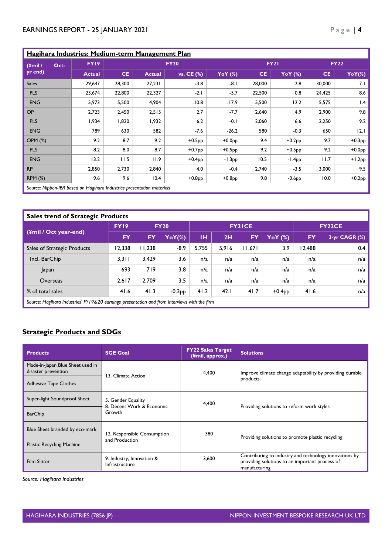| Hagihara Industries: Medium-term Management Plan                       |               |        |               |             |                |             |             |           |           |
|------------------------------------------------------------------------|---------------|--------|---------------|-------------|----------------|-------------|-------------|-----------|-----------|
| $(4$ mil /<br>Oct-<br>yr end)                                          | FY19          |        |               | <b>FY20</b> |                | <b>FY21</b> | <b>FY22</b> |           |           |
|                                                                        | <b>Actual</b> | CE.    | <b>Actual</b> | vs. CE (%)  | <b>YoY</b> (%) | <b>CE</b>   | YoY (%)     | <b>CE</b> | $YoY(\%)$ |
| <b>Sales</b>                                                           | 29,647        | 28,300 | 27,231        | $-3.8$      | $-8.1$         | 28,000      | 2.8         | 30,000    | 7.I       |
| <b>PLS</b>                                                             | 23,674        | 22,800 | 22,327        | $-2.1$      | $-5.7$         | 22,500      | 0.8         | 24,425    | 8.6       |
| <b>ENG</b>                                                             | 5,973         | 5,500  | 4,904         | $-10.8$     | -17.9          | 5,500       | 12.2        | 5,575     | 1.4       |
| <b>OP</b>                                                              | 2,723         | 2,450  | 2,515         | 2.7         | $-7.7$         | 2,640       | 4.9         | 2,900     | 9.8       |
| <b>PLS</b>                                                             | 1,934         | 1,820  | 1,932         | 6.2         | $-0.1$         | 2,060       | 6.6         | 2,250     | 9.2       |
| <b>ENG</b>                                                             | 789           | 630    | 582           | $-7.6$      | $-26.2$        | 580         | $-0.3$      | 650       | 2.1       |
| <b>OPM (%)</b>                                                         | 9.2           | 8.7    | 9.2           | $+0.5pp$    | $+0.0PP$       | 9.4         | $+0.2PP$    | 9.7       | $+0.3PP$  |
| <b>PLS</b>                                                             | 8.2           | 8.0    | 8.7           | $+0.7PP$    | $+0.5$ pp      | 9.2         | $+0.5pp$    | 9.2       | $+0.0pp$  |
| <b>ENG</b>                                                             | 13.2          | 11.5   | 11.9          | $+0.4pp$    | $-1.3PP$       | 10.5        | $-1.4PP$    | 11.7      | $+1.2PP$  |
| <b>RP</b>                                                              | 2,850         | 2,730  | 2,840         | 4.0         | $-0.4$         | 2,740       | $-3.5$      | 3,000     | 9.5       |
| <b>RPM (%)</b>                                                         | 9.6           | 9.6    | 10.4          | $+0.8$ pp   | $+0.8$ pp      | 9.8         | $-0.6PP$    | 10.0      | $+0.2$ pp |
| Source: Nippon-IBR based on Hagihara Industries presentation materials |               |        |               |             |                |             |             |           |           |

| <b>Sales trend of Strategic Products</b>                                                     |             |       |                             |               |       |        |                |               |               |  |
|----------------------------------------------------------------------------------------------|-------------|-------|-----------------------------|---------------|-------|--------|----------------|---------------|---------------|--|
| (¥mil / Oct year-end)                                                                        | <b>FY19</b> |       | <b>FY20</b>                 | <b>FY2ICE</b> |       |        |                | <b>FY22CE</b> |               |  |
|                                                                                              | <b>FY</b>   | FY.   | $\mathsf{Yo}\mathsf{Y}(\%)$ | тн            | 2H    | FY.    | <b>YoY</b> (%) | FY,           | 3-yr CAGR (%) |  |
| Sales of Strategic Products                                                                  | 12,338      | 1,238 | $-8.9$                      | 5,755         | 5,916 | 11,671 | 3.9            | 12,488        | 0.4           |  |
| Incl. BarChip                                                                                | 3,311       | 3,429 | 3.6                         | n/a           | n/a   | n/a    | n/a            | n/a           | n/a           |  |
| Japan                                                                                        | 693         | 719   | 3.8                         | n/a           | n/a   | n/a    | n/a            | n/a           | n/a           |  |
| Overseas                                                                                     | 2.617       | 2.709 | 3.5                         | n/a           | n/a   | n/a    | n/a            | n/a           | n/a           |  |
| % of total sales                                                                             | 41.6        | 41.3  | $-0.3PP$                    | 41.2          | 42.1  | 41.7   | $+0.4pp$       | 41.6          | n/a           |  |
| Source: Hagihara Industries' FY19&20 earnings presentation and from interviews with the firm |             |       |                             |               |       |        |                |               |               |  |

## **Strategic Products and SDGs**

| <b>Products</b>                                         | <b>SGE Goal</b>                                 | <b>FY22 Sales Target</b><br>(¥mil, approx.) | <b>Solutions</b>                                                                                                          |  |  |  |
|---------------------------------------------------------|-------------------------------------------------|---------------------------------------------|---------------------------------------------------------------------------------------------------------------------------|--|--|--|
| Made-in-Japan Blue Sheet used in<br>disaster prevention | 13. Climate Action                              | 4,400                                       | Improve climate change adaptability by providing durable<br>products.                                                     |  |  |  |
| <b>Adhesive Tape Clothes</b>                            |                                                 |                                             |                                                                                                                           |  |  |  |
| Super-light Soundproof Sheet                            | 5. Gender Equality<br>8. Decent Work & Economic | 4,400                                       | Providing solutions to reform work styles                                                                                 |  |  |  |
| <b>BarChip</b>                                          | Growth                                          |                                             |                                                                                                                           |  |  |  |
| Blue Sheet branded by eco-mark                          | 12. Responsible Consumption                     | 380                                         | Providing solutions to promote plastic recycling                                                                          |  |  |  |
| <b>Plastic Recycling Machine</b>                        | and Production                                  |                                             |                                                                                                                           |  |  |  |
| <b>Film Slitter</b>                                     | 9. Industry, Innovation &<br>Infrastructure     | 3,600                                       | Contributing to industry and technology innovations by<br>providing solutions to an important process of<br>manufacturing |  |  |  |

*Source: Hagihara Industries*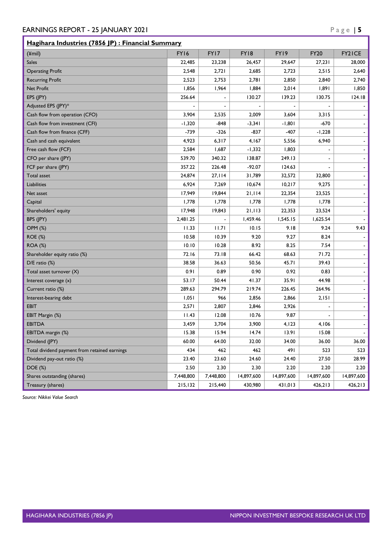# EARNINGS REPORT - 25 JANUARY 2021 **Page | 5**

#### **Hagihara Industries (7856 JP) : Financial Summary**

| $(\text{\textsterling} \text{mil})$           | FY16      | FY17      | FY18       | FY19       | <b>FY20</b> | FY21CE                   |
|-----------------------------------------------|-----------|-----------|------------|------------|-------------|--------------------------|
| <b>Sales</b>                                  | 22,485    | 23,238    | 26,457     | 29,647     | 27,231      | 28,000                   |
| <b>Operating Profit</b>                       | 2,548     | 2,721     | 2,685      | 2,723      | 2,515       | 2,640                    |
| <b>Recurring Profit</b>                       | 2,523     | 2,753     | 2,781      | 2,850      | 2,840       | 2,740                    |
| Net Profit                                    | 1,856     | 1,964     | 1,884      | 2,014      | 1,891       | 1,850                    |
| EPS (JPY)                                     | 256.64    |           | 130.27     | 139.23     | 130.75      | 124.18                   |
| Adjusted EPS (JPY)*                           |           |           |            |            |             |                          |
| Cash flow from operation (CFO)                | 3,904     | 2,535     | 2,009      | 3,604      | 3,315       | $\blacksquare$           |
| Cash flow from investment (CFI)               | $-1,320$  | $-848$    | $-3,341$   | $-1,801$   | $-670$      | $\mathbf{r}$             |
| Cash flow from finance (CFF)                  | $-739$    | $-326$    | $-837$     | $-407$     | $-1,228$    | $\blacksquare$           |
| Cash and cash equivalent                      | 4,923     | 6,317     | 4,167      | 5,556      | 6,940       | $\overline{\phantom{a}}$ |
| Free cash flow (FCF)                          | 2,584     | 1,687     | $-1,332$   | 1,803      |             | $\blacksquare$           |
| CFO per share (JPY)                           | 539.70    | 340.32    | 138.87     | 249.13     |             | $\blacksquare$           |
| FCF per share (JPY)                           | 357.22    | 226.48    | $-92.07$   | 124.63     |             | $\sim$                   |
| Total asset                                   | 24,874    | 27,114    | 31,789     | 32,572     | 32,800      | $\blacksquare$           |
| Liabilities                                   | 6,924     | 7,269     | 10,674     | 10,217     | 9,275       | $\blacksquare$           |
| Net asset                                     | 17,949    | 19,844    | 21,114     | 22,354     | 23,525      | $\blacksquare$           |
| Capital                                       | 1,778     | 1,778     | 1,778      | 1,778      | 1,778       | $\overline{\phantom{a}}$ |
| Shareholders' equity                          | 17,948    | 19,843    | 21,113     | 22,353     | 23,524      | $\blacksquare$           |
| BPS (IPY)                                     | 2,481.25  |           | 1,459.46   | 1,545.15   | 1,625.54    |                          |
| <b>OPM (%)</b>                                | 11.33     | 11.71     | 10.15      | 9.18       | 9.24        | 9.43                     |
| <b>ROE (%)</b>                                | 10.58     | 10.39     | 9.20       | 9.27       | 8.24        |                          |
| <b>ROA (%)</b>                                | 10.10     | 10.28     | 8.92       | 8.25       | 7.54        |                          |
| Shareholder equity ratio (%)                  | 72.16     | 73.18     | 66.42      | 68.63      | 71.72       | $\blacksquare$           |
| $D/E$ ratio $(\%)$                            | 38.58     | 36.63     | 50.56      | 45.71      | 39.43       | $\blacksquare$           |
| Total asset turnover (X)                      | 0.91      | 0.89      | 0.90       | 0.92       | 0.83        | $\blacksquare$           |
| Interest coverage $(x)$                       | 53.17     | 50.44     | 41.37      | 35.91      | 44.98       | $\blacksquare$           |
| Current ratio (%)                             | 289.63    | 294.79    | 219.74     | 226.45     | 264.96      | $\blacksquare$           |
| Interest-bearing debt                         | 1,051     | 966       | 2,856      | 2,866      | 2,151       | $\overline{\phantom{a}}$ |
| <b>EBIT</b>                                   | 2,571     | 2,807     | 2,846      | 2,926      | ÷,          | $\blacksquare$           |
| EBIT Margin (%)                               | 11.43     | 12.08     | 10.76      | 9.87       |             | $\blacksquare$           |
| <b>EBITDA</b>                                 | 3,459     | 3,704     | 3,900      | 4,123      | 4,106       |                          |
| EBITDA margin (%)                             | 15.38     | 15.94     | 14.74      | 13.91      | 15.08       |                          |
| Dividend (JPY)                                | 60.00     | 64.00     | 32.00      | 34.00      | 36.00       | 36.00                    |
| Total dividend payment from retained earnings | 434       | 462       | 462        | 491        | 523         | 523                      |
| Dividend pay-out ratio (%)                    | 23.40     | 23.60     | 24.60      | 24.40      | 27.50       | 28.99                    |
| DOE (%)                                       | 2.50      | 2.30      | 2.30       | 2.20       | 2.20        | 2.20                     |
| Shares outstanding (shares)                   | 7,448,800 | 7,448,800 | 14,897,600 | 14,897,600 | 14,897,600  | 14,897,600               |
| Treasury (shares)                             | 215,132   | 215,440   | 430,980    | 431,013    | 426,213     | 426,213                  |

*Source: Nikkei Value Search*